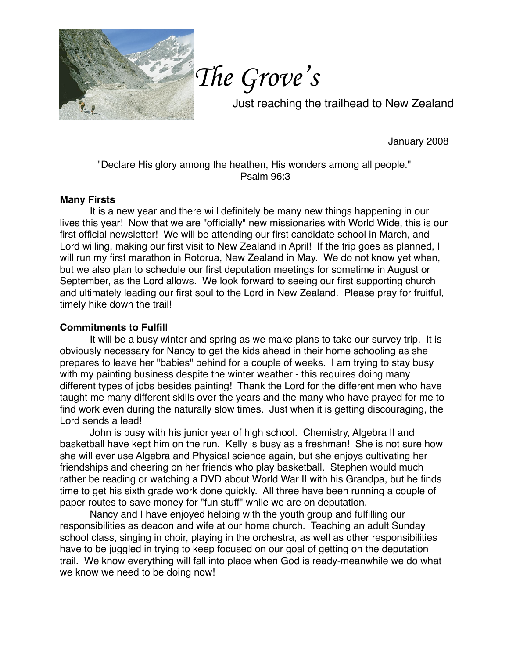

*The Grove's*

Just reaching the trailhead to New Zealand

January 2008

"Declare His glory among the heathen, His wonders among all people." Psalm 96:3

## **Many Firsts**

It is a new year and there will definitely be many new things happening in our lives this year! Now that we are "officially" new missionaries with World Wide, this is our first official newsletter! We will be attending our first candidate school in March, and Lord willing, making our first visit to New Zealand in April! If the trip goes as planned, I will run my first marathon in Rotorua, New Zealand in May. We do not know yet when, but we also plan to schedule our first deputation meetings for sometime in August or September, as the Lord allows. We look forward to seeing our first supporting church and ultimately leading our first soul to the Lord in New Zealand. Please pray for fruitful, timely hike down the trail!

## **Commitments to Fulfill**

It will be a busy winter and spring as we make plans to take our survey trip. It is obviously necessary for Nancy to get the kids ahead in their home schooling as she prepares to leave her "babies" behind for a couple of weeks. I am trying to stay busy with my painting business despite the winter weather - this requires doing many different types of jobs besides painting! Thank the Lord for the different men who have taught me many different skills over the years and the many who have prayed for me to find work even during the naturally slow times. Just when it is getting discouraging, the Lord sends a lead!

John is busy with his junior year of high school. Chemistry, Algebra II and basketball have kept him on the run. Kelly is busy as a freshman! She is not sure how she will ever use Algebra and Physical science again, but she enjoys cultivating her friendships and cheering on her friends who play basketball. Stephen would much rather be reading or watching a DVD about World War II with his Grandpa, but he finds time to get his sixth grade work done quickly. All three have been running a couple of paper routes to save money for "fun stuff" while we are on deputation.

Nancy and I have enjoyed helping with the youth group and fulfilling our responsibilities as deacon and wife at our home church. Teaching an adult Sunday school class, singing in choir, playing in the orchestra, as well as other responsibilities have to be juggled in trying to keep focused on our goal of getting on the deputation trail. We know everything will fall into place when God is ready-meanwhile we do what we know we need to be doing now!